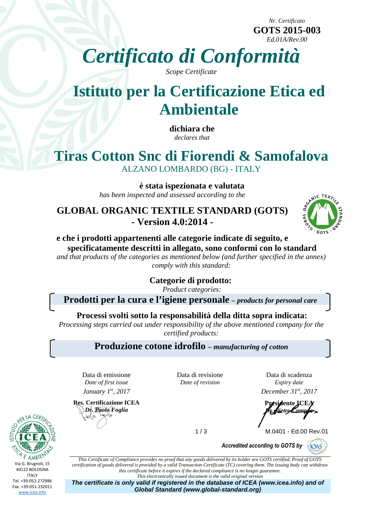*Nr. Certificato*  **GOTS 2015-003**  *Ed.01A/Rev.00*

*Certificato di Conformità*

*Scope Certificate*

# **Istituto per la Certificazione Etica ed Ambientale**

**dichiara che**  *declares that* 

## **Tiras Cotton Snc di Fiorendi & Samofalova**  ALZANO LOMBARDO (BG) - ITALY

 **è stata ispezionata e valutata**  *has been inspected and assessed according to the* 

**GLOBAL ORGANIC TEXTILE STANDARD (GOTS) - Version 4.0:2014 -** 



#### **e che i prodotti appartenenti alle categorie indicate di seguito, e specificatamente descritti in allegato, sono conformi con lo standard**

*and that products of the categories as mentioned below (and further specified in the annex) comply with this standard:* 

**Categorie di prodotto:** 

*Product categories:*

**Prodotti per la cura e l'igiene personale** *– products for personal care*

**Processi svolti sotto la responsabilità della ditta sopra indicata:** 

*Processing steps carried out under responsibility of the above mentioned company for the certified products:* 

**Produzione cotone idrofilo** *– manufacturing of cotton* 

Data di emissione *Date of first issue January 1st, 2017 December 31st, 2017* 

**Res. Certificazione ICEA**  *Dr. Paolo Foglia* ২০(১

Data di revisione *Date of revision* 

Data di scadenza *Expiry date* 

**Presidente ICEA**  *Dr. Pietro Campus*

1 / 3 M.0401 - Ed.00 Rev.01

 $\big($ IOAS

*Accredited according to GOTS by*

*This Certificate of Compliance provides no proof that any goods delivered by its holder are GOTS certified. Proof of GOTS certification of goods delivered is provided by a valid Transaction Certificate (TC) covering them. The issuing body can withdraw this certificate before it expires if the declared compliance is no longer guarantee. This electronically issued document is the valid original version*

**The certificate is only valid if registered in the database of ICEA (www.icea.info) and of Global Standard (www.global-standard.org)** 

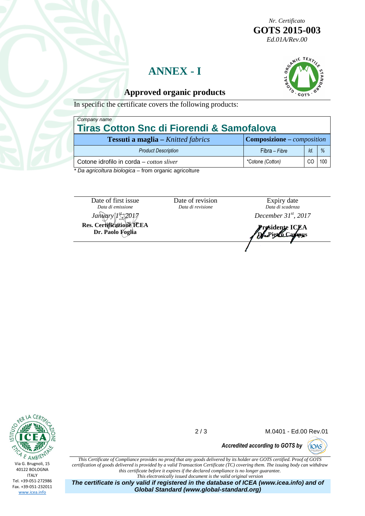*Nr. Certificato*  **GOTS 2015-003**  *Ed.01A/Rev.00*

## **ANNEX - I**



#### **Approved organic products**

In specific the certificate covers the following products:

| Company name                                         |     |                                          |  |  |
|------------------------------------------------------|-----|------------------------------------------|--|--|
| <b>Tiras Cotton Snc di Fiorendi &amp; Samofalova</b> |     |                                          |  |  |
|                                                      |     |                                          |  |  |
| Fibra - Fibre                                        | ld. | $\%$                                     |  |  |
| *Cotone (Cotton)                                     | CC  | 100                                      |  |  |
|                                                      |     | <b>Composizione</b> – <i>composition</i> |  |  |

Da agricoltura biologica – from organic agricolture

Date of first issue *Data di emissione*  **Res. Certificazione ICEA** 

**Dr. Paolo Foglia** 

Date of revision *Data di revisione* 

Expiry date *Data di scadenza* 

*January 1st, 2017 December 31st, 2017* 

**Presidente ICEA Dr. Pietro Campus** 



2 / 3 M.0401 - Ed.00 Rev.01

**CIOAS** 

*Accredited according to GOTS by*

*This Certificate of Compliance provides no proof that any goods delivered by its holder are GOTS certified. Proof of GOTS certification of goods delivered is provided by a valid Transaction Certificate (TC) covering them. The issuing body can withdraw this certificate before it expires if the declared compliance is no longer guarantee. This electronically issued document is the valid original version*

**The certificate is only valid if registered in the database of ICEA (www.icea.info) and of Global Standard (www.global-standard.org)**